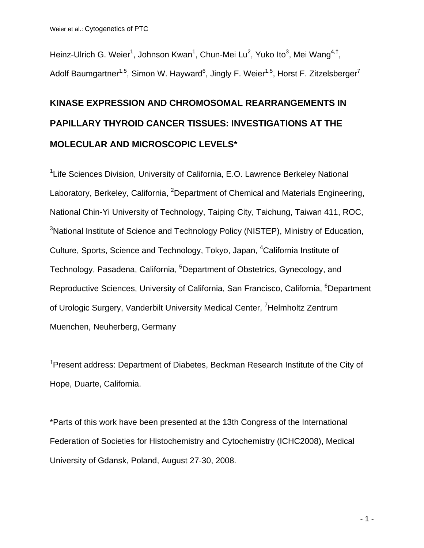Heinz-Ulrich G. Weier<sup>1</sup>, Johnson Kwan<sup>1</sup>, Chun-Mei Lu<sup>2</sup>, Yuko Ito<sup>3</sup>, Mei Wang<sup>4,†</sup>, Adolf Baumgartner<sup>1,5</sup>, Simon W. Hayward<sup>6</sup>, Jingly F. Weier<sup>1,5</sup>, Horst F. Zitzelsberger<sup>7</sup>

# **KINASE EXPRESSION AND CHROMOSOMAL REARRANGEMENTS IN PAPILLARY THYROID CANCER TISSUES: INVESTIGATIONS AT THE MOLECULAR AND MICROSCOPIC LEVELS\***

<sup>1</sup> Life Sciences Division, University of California, E.O. Lawrence Berkeley National Laboratory, Berkeley, California, <sup>2</sup>Department of Chemical and Materials Engineering, National Chin-Yi University of Technology, Taiping City, Taichung, Taiwan 411, ROC, <sup>3</sup>National Institute of Science and Technology Policy (NISTEP), Ministry of Education, Culture, Sports, Science and Technology, Tokyo, Japan, <sup>4</sup>California Institute of Technology, Pasadena, California, <sup>5</sup>Department of Obstetrics, Gynecology, and Reproductive Sciences, University of California, San Francisco, California, <sup>6</sup>Department of Urologic Surgery, Vanderbilt University Medical Center, <sup>7</sup>Helmholtz Zentrum Muenchen, Neuherberg, Germany

† Present address: Department of Diabetes, Beckman Research Institute of the City of Hope, Duarte, California.

\*Parts of this work have been presented at the 13th Congress of the International Federation of Societies for Histochemistry and Cytochemistry (ICHC2008), Medical University of Gdansk, Poland, August 27-30, 2008.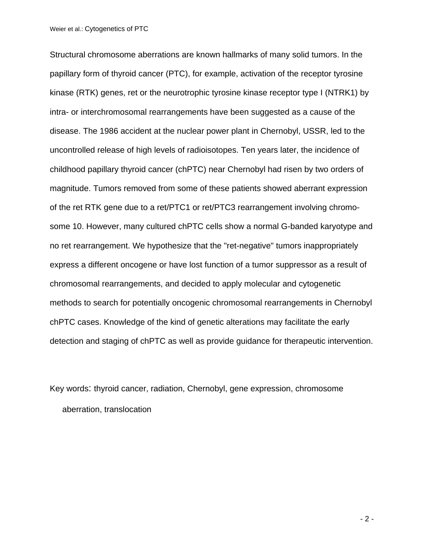Structural chromosome aberrations are known hallmarks of many solid tumors. In the papillary form of thyroid cancer (PTC), for example, activation of the receptor tyrosine kinase (RTK) genes, ret or the neurotrophic tyrosine kinase receptor type I (NTRK1) by intra- or interchromosomal rearrangements have been suggested as a cause of the disease. The 1986 accident at the nuclear power plant in Chernobyl, USSR, led to the uncontrolled release of high levels of radioisotopes. Ten years later, the incidence of childhood papillary thyroid cancer (chPTC) near Chernobyl had risen by two orders of magnitude. Tumors removed from some of these patients showed aberrant expression of the ret RTK gene due to a ret/PTC1 or ret/PTC3 rearrangement involving chromosome 10. However, many cultured chPTC cells show a normal G-banded karyotype and no ret rearrangement. We hypothesize that the "ret-negative" tumors inappropriately express a different oncogene or have lost function of a tumor suppressor as a result of chromosomal rearrangements, and decided to apply molecular and cytogenetic methods to search for potentially oncogenic chromosomal rearrangements in Chernobyl chPTC cases. Knowledge of the kind of genetic alterations may facilitate the early detection and staging of chPTC as well as provide guidance for therapeutic intervention.

Key words: thyroid cancer, radiation, Chernobyl, gene expression, chromosome aberration, translocation

 $-2 -$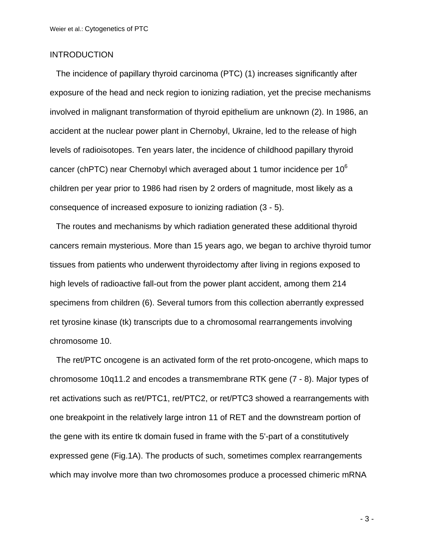## **INTRODUCTION**

The incidence of papillary thyroid carcinoma (PTC) (1) increases significantly after exposure of the head and neck region to ionizing radiation, yet the precise mechanisms involved in malignant transformation of thyroid epithelium are unknown (2). In 1986, an accident at the nuclear power plant in Chernobyl, Ukraine, led to the release of high levels of radioisotopes. Ten years later, the incidence of childhood papillary thyroid cancer (chPTC) near Chernobyl which averaged about 1 tumor incidence per  $10^6$ children per year prior to 1986 had risen by 2 orders of magnitude, most likely as a consequence of increased exposure to ionizing radiation (3 - 5).

The routes and mechanisms by which radiation generated these additional thyroid cancers remain mysterious. More than 15 years ago, we began to archive thyroid tumor tissues from patients who underwent thyroidectomy after living in regions exposed to high levels of radioactive fall-out from the power plant accident, among them 214 specimens from children (6). Several tumors from this collection aberrantly expressed ret tyrosine kinase (tk) transcripts due to a chromosomal rearrangements involving chromosome 10.

The ret/PTC oncogene is an activated form of the ret proto-oncogene, which maps to chromosome 10q11.2 and encodes a transmembrane RTK gene (7 - 8). Major types of ret activations such as ret/PTC1, ret/PTC2, or ret/PTC3 showed a rearrangements with one breakpoint in the relatively large intron 11 of RET and the downstream portion of the gene with its entire tk domain fused in frame with the 5'-part of a constitutively expressed gene (Fig.1A). The products of such, sometimes complex rearrangements which may involve more than two chromosomes produce a processed chimeric mRNA

- 3 -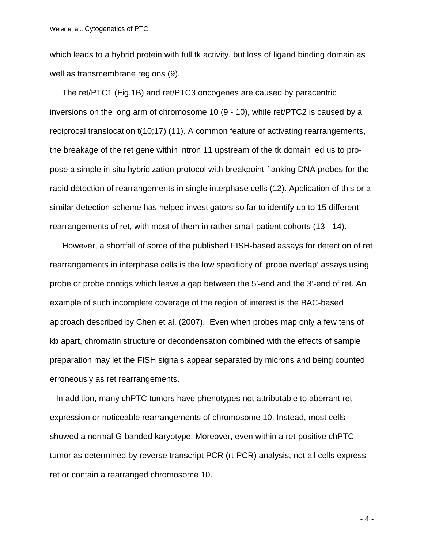which leads to a hybrid protein with full tk activity, but loss of ligand binding domain as well as transmembrane regions (9).

The ret/PTC1 (Fig.1B) and ret/PTC3 oncogenes are caused by paracentric inversions on the long arm of chromosome 10 (9 - 10), while ret/PTC2 is caused by a reciprocal translocation t(10;17) (11). A common feature of activating rearrangements, the breakage of the ret gene within intron 11 upstream of the tk domain led us to propose a simple in situ hybridization protocol with breakpoint-flanking DNA probes for the rapid detection of rearrangements in single interphase cells (12). Application of this or a similar detection scheme has helped investigators so far to identify up to 15 different rearrangements of ret, with most of them in rather small patient cohorts (13 - 14).

However, a shortfall of some of the published FISH-based assays for detection of ret rearrangements in interphase cells is the low specificity of 'probe overlap' assays using probe or probe contigs which leave a gap between the 5'-end and the 3'-end of ret. An example of such incomplete coverage of the region of interest is the BAC-based approach described by Chen et al. (2007). Even when probes map only a few tens of kb apart, chromatin structure or decondensation combined with the effects of sample preparation may let the FISH signals appear separated by microns and being counted erroneously as ret rearrangements.

In addition, many chPTC tumors have phenotypes not attributable to aberrant ret expression or noticeable rearrangements of chromosome 10. Instead, most cells showed a normal G-banded karyotype. Moreover, even within a ret-positive chPTC tumor as determined by reverse transcript PCR (rt-PCR) analysis, not all cells express ret or contain a rearranged chromosome 10.

- 4 -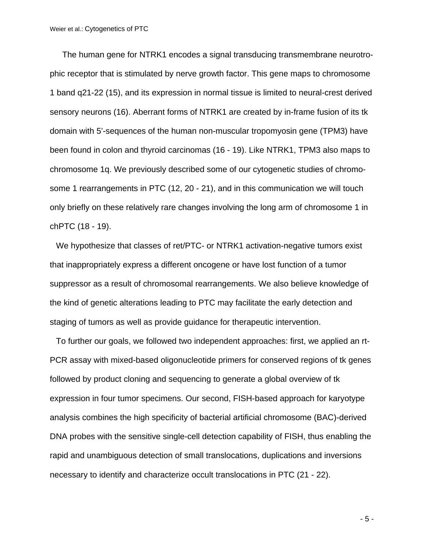The human gene for NTRK1 encodes a signal transducing transmembrane neurotrophic receptor that is stimulated by nerve growth factor. This gene maps to chromosome 1 band q21-22 (15), and its expression in normal tissue is limited to neural-crest derived sensory neurons (16). Aberrant forms of NTRK1 are created by in-frame fusion of its tk domain with 5'-sequences of the human non-muscular tropomyosin gene (TPM3) have been found in colon and thyroid carcinomas (16 - 19). Like NTRK1, TPM3 also maps to chromosome 1q. We previously described some of our cytogenetic studies of chromosome 1 rearrangements in PTC (12, 20 - 21), and in this communication we will touch only briefly on these relatively rare changes involving the long arm of chromosome 1 in chPTC (18 - 19).

We hypothesize that classes of ret/PTC- or NTRK1 activation-negative tumors exist that inappropriately express a different oncogene or have lost function of a tumor suppressor as a result of chromosomal rearrangements. We also believe knowledge of the kind of genetic alterations leading to PTC may facilitate the early detection and staging of tumors as well as provide guidance for therapeutic intervention.

To further our goals, we followed two independent approaches: first, we applied an rt-PCR assay with mixed-based oligonucleotide primers for conserved regions of tk genes followed by product cloning and sequencing to generate a global overview of tk expression in four tumor specimens. Our second, FISH-based approach for karyotype analysis combines the high specificity of bacterial artificial chromosome (BAC)-derived DNA probes with the sensitive single-cell detection capability of FISH, thus enabling the rapid and unambiguous detection of small translocations, duplications and inversions necessary to identify and characterize occult translocations in PTC (21 - 22).

- 5 -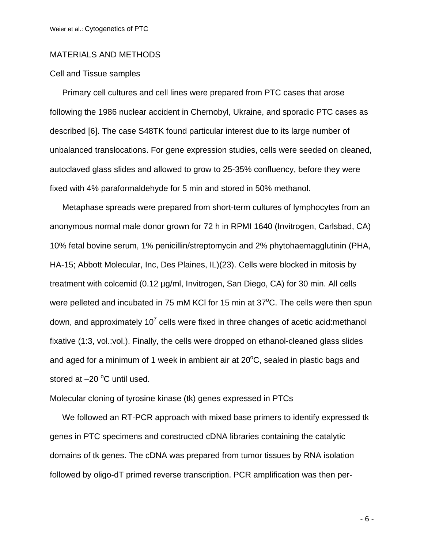## MATERIALS AND METHODS

### Cell and Tissue samples

Primary cell cultures and cell lines were prepared from PTC cases that arose following the 1986 nuclear accident in Chernobyl, Ukraine, and sporadic PTC cases as described [6]. The case S48TK found particular interest due to its large number of unbalanced translocations. For gene expression studies, cells were seeded on cleaned, autoclaved glass slides and allowed to grow to 25-35% confluency, before they were fixed with 4% paraformaldehyde for 5 min and stored in 50% methanol.

Metaphase spreads were prepared from short-term cultures of lymphocytes from an anonymous normal male donor grown for 72 h in RPMI 1640 (Invitrogen, Carlsbad, CA) 10% fetal bovine serum, 1% penicillin/streptomycin and 2% phytohaemagglutinin (PHA, HA-15; Abbott Molecular, Inc, Des Plaines, IL)(23). Cells were blocked in mitosis by treatment with colcemid (0.12 µg/ml, Invitrogen, San Diego, CA) for 30 min. All cells were pelleted and incubated in 75 mM KCI for 15 min at 37°C. The cells were then spun down, and approximately 10<sup>7</sup> cells were fixed in three changes of acetic acid:methanol fixative (1:3, vol.:vol.). Finally, the cells were dropped on ethanol-cleaned glass slides and aged for a minimum of 1 week in ambient air at  $20^{\circ}$ C, sealed in plastic bags and stored at  $-20$  °C until used.

### Molecular cloning of tyrosine kinase (tk) genes expressed in PTCs

We followed an RT-PCR approach with mixed base primers to identify expressed tk genes in PTC specimens and constructed cDNA libraries containing the catalytic domains of tk genes. The cDNA was prepared from tumor tissues by RNA isolation followed by oligo-dT primed reverse transcription. PCR amplification was then per-

- 6 -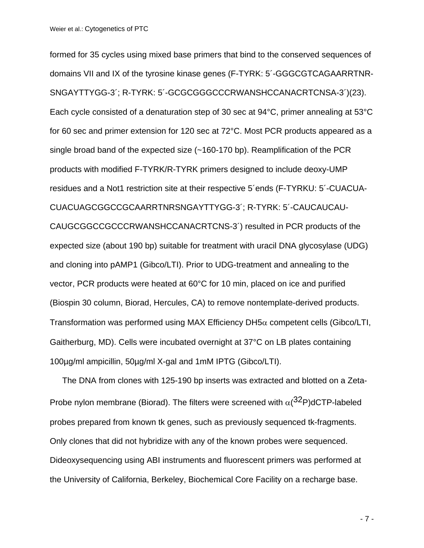formed for 35 cycles using mixed base primers that bind to the conserved sequences of domains VII and IX of the tyrosine kinase genes (F-TYRK: 5´-GGGCGTCAGAARRTNR-SNGAYTTYGG-3´; R-TYRK: 5´-GCGCGGGCCCRWANSHCCANACRTCNSA-3´)(23). Each cycle consisted of a denaturation step of 30 sec at 94°C, primer annealing at 53°C for 60 sec and primer extension for 120 sec at 72°C. Most PCR products appeared as a single broad band of the expected size (~160-170 bp). Reamplification of the PCR products with modified F-TYRK/R-TYRK primers designed to include deoxy-UMP residues and a Not1 restriction site at their respective 5´ends (F-TYRKU: 5´-CUACUA-CUACUAGCGGCCGCAARRTNRSNGAYTTYGG-3´; R-TYRK: 5´-CAUCAUCAU-CAUGCGGCCGCCCRWANSHCCANACRTCNS-3´) resulted in PCR products of the expected size (about 190 bp) suitable for treatment with uracil DNA glycosylase (UDG) and cloning into pAMP1 (Gibco/LTI). Prior to UDG-treatment and annealing to the vector, PCR products were heated at 60°C for 10 min, placed on ice and purified (Biospin 30 column, Biorad, Hercules, CA) to remove nontemplate-derived products. Transformation was performed using MAX Efficiency DH5 $\alpha$  competent cells (Gibco/LTI, Gaitherburg, MD). Cells were incubated overnight at 37°C on LB plates containing 100µg/ml ampicillin, 50µg/ml X-gal and 1mM IPTG (Gibco/LTI).

The DNA from clones with 125-190 bp inserts was extracted and blotted on a Zeta-Probe nylon membrane (Biorad). The filters were screened with  $\alpha$ ( $32P$ )dCTP-labeled probes prepared from known tk genes, such as previously sequenced tk-fragments. Only clones that did not hybridize with any of the known probes were sequenced. Dideoxysequencing using ABI instruments and fluorescent primers was performed at the University of California, Berkeley, Biochemical Core Facility on a recharge base.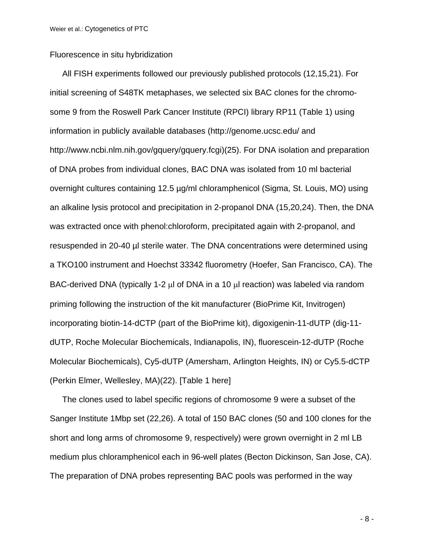#### Fluorescence in situ hybridization

All FISH experiments followed our previously published protocols (12,15,21). For initial screening of S48TK metaphases, we selected six BAC clones for the chromosome 9 from the Roswell Park Cancer Institute (RPCI) library RP11 (Table 1) using information in publicly available databases (http://genome.ucsc.edu/ and http://www.ncbi.nlm.nih.gov/gquery/gquery.fcgi)(25). For DNA isolation and preparation of DNA probes from individual clones, BAC DNA was isolated from 10 ml bacterial overnight cultures containing 12.5 µg/ml chloramphenicol (Sigma, St. Louis, MO) using an alkaline lysis protocol and precipitation in 2-propanol DNA (15,20,24). Then, the DNA was extracted once with phenol:chloroform, precipitated again with 2-propanol, and resuspended in 20-40 µl sterile water. The DNA concentrations were determined using a TKO100 instrument and Hoechst 33342 fluorometry (Hoefer, San Francisco, CA). The BAC-derived DNA (typically 1-2  $\mu$ l of DNA in a 10  $\mu$ l reaction) was labeled via random priming following the instruction of the kit manufacturer (BioPrime Kit, Invitrogen) incorporating biotin-14-dCTP (part of the BioPrime kit), digoxigenin-11-dUTP (dig-11 dUTP, Roche Molecular Biochemicals, Indianapolis, IN), fluorescein-12-dUTP (Roche Molecular Biochemicals), Cy5-dUTP (Amersham, Arlington Heights, IN) or Cy5.5-dCTP (Perkin Elmer, Wellesley, MA)(22). [Table 1 here]

The clones used to label specific regions of chromosome 9 were a subset of the Sanger Institute 1Mbp set (22,26). A total of 150 BAC clones (50 and 100 clones for the short and long arms of chromosome 9, respectively) were grown overnight in 2 ml LB medium plus chloramphenicol each in 96-well plates (Becton Dickinson, San Jose, CA). The preparation of DNA probes representing BAC pools was performed in the way

- 8 -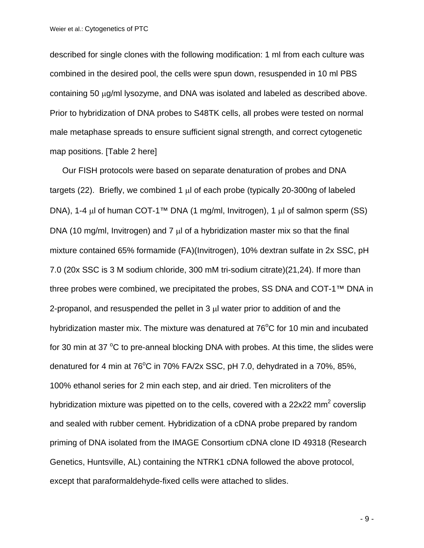described for single clones with the following modification: 1 ml from each culture was combined in the desired pool, the cells were spun down, resuspended in 10 ml PBS containing 50 μg/ml lysozyme, and DNA was isolated and labeled as described above. Prior to hybridization of DNA probes to S48TK cells, all probes were tested on normal male metaphase spreads to ensure sufficient signal strength, and correct cytogenetic map positions. [Table 2 here]

Our FISH protocols were based on separate denaturation of probes and DNA targets (22). Briefly, we combined 1  $\mu$ l of each probe (typically 20-300ng of labeled DNA), 1-4 μl of human COT-1™ DNA (1 mg/ml, Invitrogen), 1 μl of salmon sperm (SS) DNA (10 mg/ml, Invitrogen) and 7 μl of a hybridization master mix so that the final mixture contained 65% formamide (FA)(Invitrogen), 10% dextran sulfate in 2x SSC, pH 7.0 (20x SSC is 3 M sodium chloride, 300 mM tri-sodium citrate)(21,24). If more than three probes were combined, we precipitated the probes, SS DNA and COT-1™ DNA in 2-propanol, and resuspended the pellet in 3 μl water prior to addition of and the hybridization master mix. The mixture was denatured at  $76^{\circ}$ C for 10 min and incubated for 30 min at 37  $\mathrm{^{\circ}C}$  to pre-anneal blocking DNA with probes. At this time, the slides were denatured for 4 min at 76 $^{\circ}$ C in 70% FA/2x SSC, pH 7.0, dehydrated in a 70%, 85%, 100% ethanol series for 2 min each step, and air dried. Ten microliters of the hybridization mixture was pipetted on to the cells, covered with a 22x22 mm<sup>2</sup> coverslip and sealed with rubber cement. Hybridization of a cDNA probe prepared by random priming of DNA isolated from the IMAGE Consortium cDNA clone ID 49318 (Research Genetics, Huntsville, AL) containing the NTRK1 cDNA followed the above protocol, except that paraformaldehyde-fixed cells were attached to slides.

- 9 -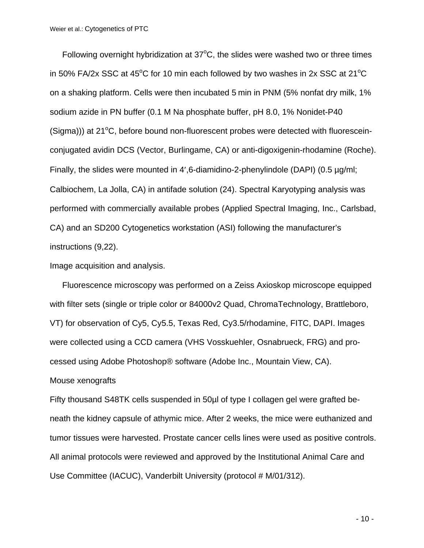Following overnight hybridization at  $37^{\circ}$ C, the slides were washed two or three times in 50% FA/2x SSC at 45<sup>o</sup>C for 10 min each followed by two washes in 2x SSC at 21<sup>o</sup>C on a shaking platform. Cells were then incubated 5 min in PNM (5% nonfat dry milk, 1% sodium azide in PN buffer (0.1 M Na phosphate buffer, pH 8.0, 1% Nonidet-P40 (Sigma))) at 21°C, before bound non-fluorescent probes were detected with fluoresceinconjugated avidin DCS (Vector, Burlingame, CA) or anti-digoxigenin-rhodamine (Roche). Finally, the slides were mounted in 4',6-diamidino-2-phenylindole (DAPI) (0.5 µg/ml; Calbiochem, La Jolla, CA) in antifade solution (24). Spectral Karyotyping analysis was performed with commercially available probes (Applied Spectral Imaging, Inc., Carlsbad, CA) and an SD200 Cytogenetics workstation (ASI) following the manufacturer's instructions (9,22).

Image acquisition and analysis.

Fluorescence microscopy was performed on a Zeiss Axioskop microscope equipped with filter sets (single or triple color or 84000v2 Quad, ChromaTechnology, Brattleboro, VT) for observation of Cy5, Cy5.5, Texas Red, Cy3.5/rhodamine, FITC, DAPI. Images were collected using a CCD camera (VHS Vosskuehler, Osnabrueck, FRG) and processed using Adobe Photoshop® software (Adobe Inc., Mountain View, CA). Mouse xenografts

Fifty thousand S48TK cells suspended in 50µl of type I collagen gel were grafted beneath the kidney capsule of athymic mice. After 2 weeks, the mice were euthanized and tumor tissues were harvested. Prostate cancer cells lines were used as positive controls. All animal protocols were reviewed and approved by the Institutional Animal Care and Use Committee (IACUC), Vanderbilt University (protocol # M/01/312).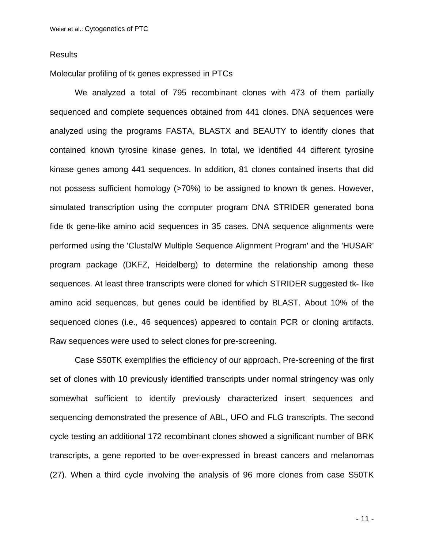### **Results**

Molecular profiling of tk genes expressed in PTCs

We analyzed a total of 795 recombinant clones with 473 of them partially sequenced and complete sequences obtained from 441 clones. DNA sequences were analyzed using the programs FASTA, BLASTX and BEAUTY to identify clones that contained known tyrosine kinase genes. In total, we identified 44 different tyrosine kinase genes among 441 sequences. In addition, 81 clones contained inserts that did not possess sufficient homology (>70%) to be assigned to known tk genes. However, simulated transcription using the computer program DNA STRIDER generated bona fide tk gene-like amino acid sequences in 35 cases. DNA sequence alignments were performed using the 'ClustalW Multiple Sequence Alignment Program' and the 'HUSAR' program package (DKFZ, Heidelberg) to determine the relationship among these sequences. At least three transcripts were cloned for which STRIDER suggested tk- like amino acid sequences, but genes could be identified by BLAST. About 10% of the sequenced clones (i.e., 46 sequences) appeared to contain PCR or cloning artifacts. Raw sequences were used to select clones for pre-screening.

Case S50TK exemplifies the efficiency of our approach. Pre-screening of the first set of clones with 10 previously identified transcripts under normal stringency was only somewhat sufficient to identify previously characterized insert sequences and sequencing demonstrated the presence of ABL, UFO and FLG transcripts. The second cycle testing an additional 172 recombinant clones showed a significant number of BRK transcripts, a gene reported to be over-expressed in breast cancers and melanomas (27). When a third cycle involving the analysis of 96 more clones from case S50TK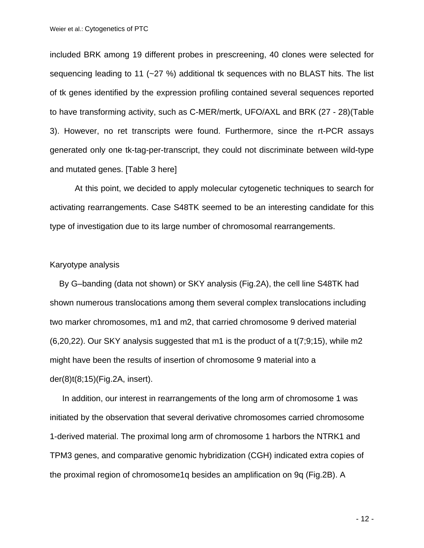included BRK among 19 different probes in prescreening, 40 clones were selected for sequencing leading to 11 (~27 %) additional tk sequences with no BLAST hits. The list of tk genes identified by the expression profiling contained several sequences reported to have transforming activity, such as C-MER/mertk, UFO/AXL and BRK (27 - 28)(Table 3). However, no ret transcripts were found. Furthermore, since the rt-PCR assays generated only one tk-tag-per-transcript, they could not discriminate between wild-type and mutated genes. [Table 3 here]

At this point, we decided to apply molecular cytogenetic techniques to search for activating rearrangements. Case S48TK seemed to be an interesting candidate for this type of investigation due to its large number of chromosomal rearrangements.

#### Karyotype analysis

By G–banding (data not shown) or SKY analysis (Fig.2A), the cell line S48TK had shown numerous translocations among them several complex translocations including two marker chromosomes, m1 and m2, that carried chromosome 9 derived material (6,20,22). Our SKY analysis suggested that m1 is the product of a t(7;9;15), while m2 might have been the results of insertion of chromosome 9 material into a der(8)t(8;15)(Fig.2A, insert).

In addition, our interest in rearrangements of the long arm of chromosome 1 was initiated by the observation that several derivative chromosomes carried chromosome 1-derived material. The proximal long arm of chromosome 1 harbors the NTRK1 and TPM3 genes, and comparative genomic hybridization (CGH) indicated extra copies of the proximal region of chromosome1q besides an amplification on 9q (Fig.2B). A

- 12 -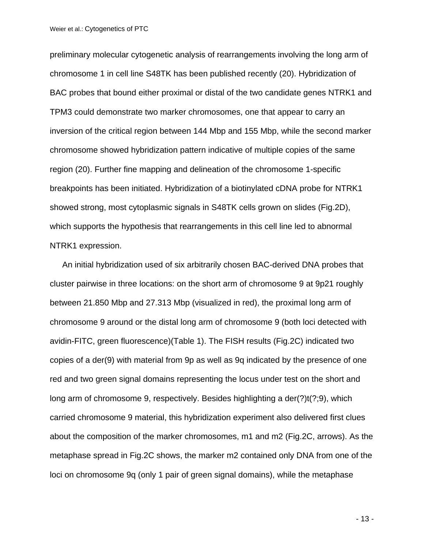preliminary molecular cytogenetic analysis of rearrangements involving the long arm of chromosome 1 in cell line S48TK has been published recently (20). Hybridization of BAC probes that bound either proximal or distal of the two candidate genes NTRK1 and TPM3 could demonstrate two marker chromosomes, one that appear to carry an inversion of the critical region between 144 Mbp and 155 Mbp, while the second marker chromosome showed hybridization pattern indicative of multiple copies of the same region (20). Further fine mapping and delineation of the chromosome 1-specific breakpoints has been initiated. Hybridization of a biotinylated cDNA probe for NTRK1 showed strong, most cytoplasmic signals in S48TK cells grown on slides (Fig.2D), which supports the hypothesis that rearrangements in this cell line led to abnormal NTRK1 expression.

An initial hybridization used of six arbitrarily chosen BAC-derived DNA probes that cluster pairwise in three locations: on the short arm of chromosome 9 at 9p21 roughly between 21.850 Mbp and 27.313 Mbp (visualized in red), the proximal long arm of chromosome 9 around or the distal long arm of chromosome 9 (both loci detected with avidin-FITC, green fluorescence)(Table 1). The FISH results (Fig.2C) indicated two copies of a der(9) with material from 9p as well as 9q indicated by the presence of one red and two green signal domains representing the locus under test on the short and long arm of chromosome 9, respectively. Besides highlighting a der(?)t(?;9), which carried chromosome 9 material, this hybridization experiment also delivered first clues about the composition of the marker chromosomes, m1 and m2 (Fig.2C, arrows). As the metaphase spread in Fig.2C shows, the marker m2 contained only DNA from one of the loci on chromosome 9q (only 1 pair of green signal domains), while the metaphase

- 13 -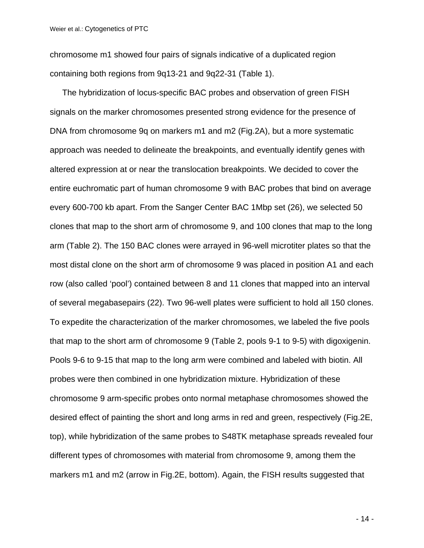chromosome m1 showed four pairs of signals indicative of a duplicated region containing both regions from 9q13-21 and 9q22-31 (Table 1).

The hybridization of locus-specific BAC probes and observation of green FISH signals on the marker chromosomes presented strong evidence for the presence of DNA from chromosome 9q on markers m1 and m2 (Fig.2A), but a more systematic approach was needed to delineate the breakpoints, and eventually identify genes with altered expression at or near the translocation breakpoints. We decided to cover the entire euchromatic part of human chromosome 9 with BAC probes that bind on average every 600-700 kb apart. From the Sanger Center BAC 1Mbp set (26), we selected 50 clones that map to the short arm of chromosome 9, and 100 clones that map to the long arm (Table 2). The 150 BAC clones were arrayed in 96-well microtiter plates so that the most distal clone on the short arm of chromosome 9 was placed in position A1 and each row (also called 'pool') contained between 8 and 11 clones that mapped into an interval of several megabasepairs (22). Two 96-well plates were sufficient to hold all 150 clones. To expedite the characterization of the marker chromosomes, we labeled the five pools that map to the short arm of chromosome 9 (Table 2, pools 9-1 to 9-5) with digoxigenin. Pools 9-6 to 9-15 that map to the long arm were combined and labeled with biotin. All probes were then combined in one hybridization mixture. Hybridization of these chromosome 9 arm-specific probes onto normal metaphase chromosomes showed the desired effect of painting the short and long arms in red and green, respectively (Fig.2E, top), while hybridization of the same probes to S48TK metaphase spreads revealed four different types of chromosomes with material from chromosome 9, among them the markers m1 and m2 (arrow in Fig.2E, bottom). Again, the FISH results suggested that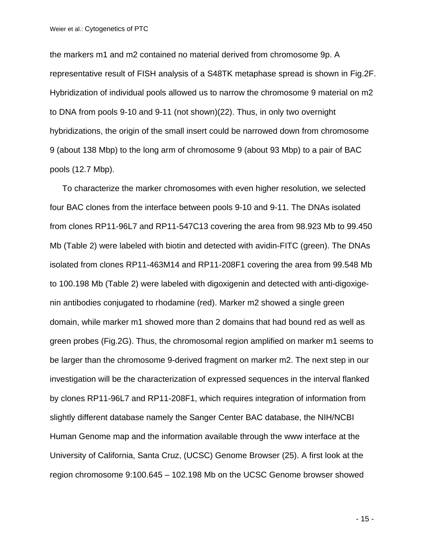the markers m1 and m2 contained no material derived from chromosome 9p. A representative result of FISH analysis of a S48TK metaphase spread is shown in Fig.2F. Hybridization of individual pools allowed us to narrow the chromosome 9 material on m2 to DNA from pools 9-10 and 9-11 (not shown)(22). Thus, in only two overnight hybridizations, the origin of the small insert could be narrowed down from chromosome 9 (about 138 Mbp) to the long arm of chromosome 9 (about 93 Mbp) to a pair of BAC pools (12.7 Mbp).

To characterize the marker chromosomes with even higher resolution, we selected four BAC clones from the interface between pools 9-10 and 9-11. The DNAs isolated from clones RP11-96L7 and RP11-547C13 covering the area from 98.923 Mb to 99.450 Mb (Table 2) were labeled with biotin and detected with avidin-FITC (green). The DNAs isolated from clones RP11-463M14 and RP11-208F1 covering the area from 99.548 Mb to 100.198 Mb (Table 2) were labeled with digoxigenin and detected with anti-digoxigenin antibodies conjugated to rhodamine (red). Marker m2 showed a single green domain, while marker m1 showed more than 2 domains that had bound red as well as green probes (Fig.2G). Thus, the chromosomal region amplified on marker m1 seems to be larger than the chromosome 9-derived fragment on marker m2. The next step in our investigation will be the characterization of expressed sequences in the interval flanked by clones RP11-96L7 and RP11-208F1, which requires integration of information from slightly different database namely the Sanger Center BAC database, the NIH/NCBI Human Genome map and the information available through the www interface at the University of California, Santa Cruz, (UCSC) Genome Browser (25). A first look at the region chromosome 9:100.645 – 102.198 Mb on the UCSC Genome browser showed

- 15 -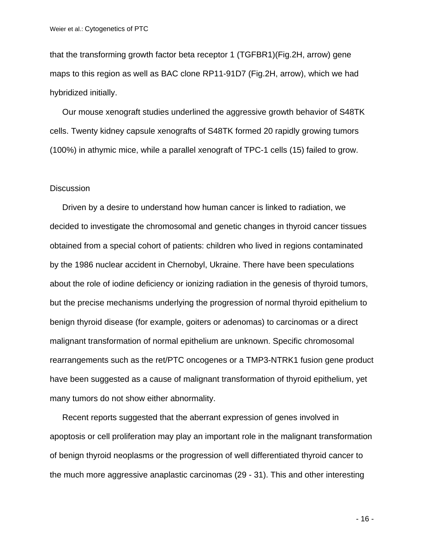that the transforming growth factor beta receptor 1 (TGFBR1)(Fig.2H, arrow) gene maps to this region as well as BAC clone RP11-91D7 (Fig.2H, arrow), which we had hybridized initially.

Our mouse xenograft studies underlined the aggressive growth behavior of S48TK cells. Twenty kidney capsule xenografts of S48TK formed 20 rapidly growing tumors (100%) in athymic mice, while a parallel xenograft of TPC-1 cells (15) failed to grow.

#### **Discussion**

Driven by a desire to understand how human cancer is linked to radiation, we decided to investigate the chromosomal and genetic changes in thyroid cancer tissues obtained from a special cohort of patients: children who lived in regions contaminated by the 1986 nuclear accident in Chernobyl, Ukraine. There have been speculations about the role of iodine deficiency or ionizing radiation in the genesis of thyroid tumors, but the precise mechanisms underlying the progression of normal thyroid epithelium to benign thyroid disease (for example, goiters or adenomas) to carcinomas or a direct malignant transformation of normal epithelium are unknown. Specific chromosomal rearrangements such as the ret/PTC oncogenes or a TMP3-NTRK1 fusion gene product have been suggested as a cause of malignant transformation of thyroid epithelium, yet many tumors do not show either abnormality.

Recent reports suggested that the aberrant expression of genes involved in apoptosis or cell proliferation may play an important role in the malignant transformation of benign thyroid neoplasms or the progression of well differentiated thyroid cancer to the much more aggressive anaplastic carcinomas (29 - 31). This and other interesting

- 16 -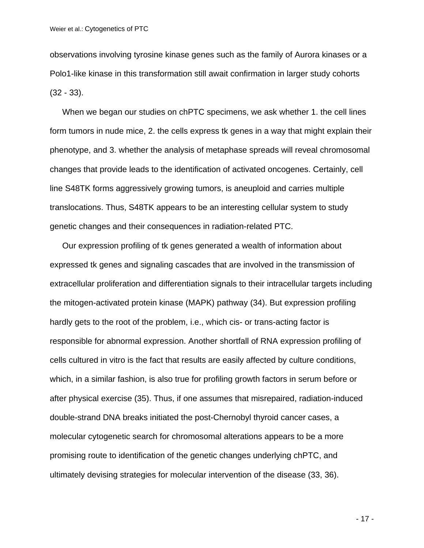observations involving tyrosine kinase genes such as the family of Aurora kinases or a Polo1-like kinase in this transformation still await confirmation in larger study cohorts (32 - 33).

When we began our studies on chPTC specimens, we ask whether 1. the cell lines form tumors in nude mice, 2. the cells express tk genes in a way that might explain their phenotype, and 3. whether the analysis of metaphase spreads will reveal chromosomal changes that provide leads to the identification of activated oncogenes. Certainly, cell line S48TK forms aggressively growing tumors, is aneuploid and carries multiple translocations. Thus, S48TK appears to be an interesting cellular system to study genetic changes and their consequences in radiation-related PTC.

Our expression profiling of tk genes generated a wealth of information about expressed tk genes and signaling cascades that are involved in the transmission of extracellular proliferation and differentiation signals to their intracellular targets including the mitogen-activated protein kinase (MAPK) pathway (34). But expression profiling hardly gets to the root of the problem, i.e., which cis- or trans-acting factor is responsible for abnormal expression. Another shortfall of RNA expression profiling of cells cultured in vitro is the fact that results are easily affected by culture conditions, which, in a similar fashion, is also true for profiling growth factors in serum before or after physical exercise (35). Thus, if one assumes that misrepaired, radiation-induced double-strand DNA breaks initiated the post-Chernobyl thyroid cancer cases, a molecular cytogenetic search for chromosomal alterations appears to be a more promising route to identification of the genetic changes underlying chPTC, and ultimately devising strategies for molecular intervention of the disease (33, 36).

- 17 -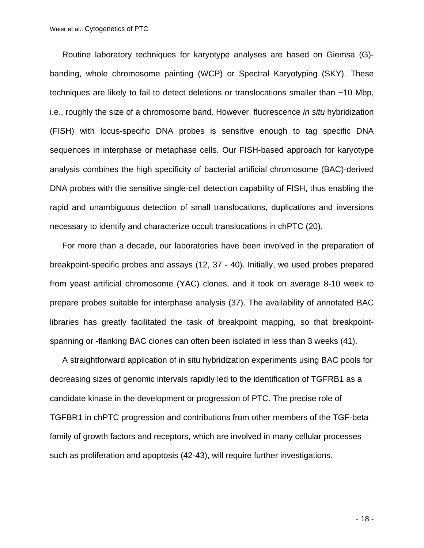Routine laboratory techniques for karyotype analyses are based on Giemsa (G) banding, whole chromosome painting (WCP) or Spectral Karyotyping (SKY). These techniques are likely to fail to detect deletions or translocations smaller than ~10 Mbp, i.e., roughly the size of a chromosome band. However, fluorescence *in situ* hybridization (FISH) with locus-specific DNA probes is sensitive enough to tag specific DNA sequences in interphase or metaphase cells. Our FISH-based approach for karyotype analysis combines the high specificity of bacterial artificial chromosome (BAC)-derived DNA probes with the sensitive single-cell detection capability of FISH, thus enabling the rapid and unambiguous detection of small translocations, duplications and inversions necessary to identify and characterize occult translocations in chPTC (20).

For more than a decade, our laboratories have been involved in the preparation of breakpoint-specific probes and assays (12, 37 - 40). Initially, we used probes prepared from yeast artificial chromosome (YAC) clones, and it took on average 8-10 week to prepare probes suitable for interphase analysis (37). The availability of annotated BAC libraries has greatly facilitated the task of breakpoint mapping, so that breakpointspanning or -flanking BAC clones can often been isolated in less than 3 weeks (41).

A straightforward application of in situ hybridization experiments using BAC pools for decreasing sizes of genomic intervals rapidly led to the identification of TGFRB1 as a candidate kinase in the development or progression of PTC. The precise role of TGFBR1 in chPTC progression and contributions from other members of the TGF-beta family of growth factors and receptors, which are involved in many cellular processes such as proliferation and apoptosis (42-43), will require further investigations.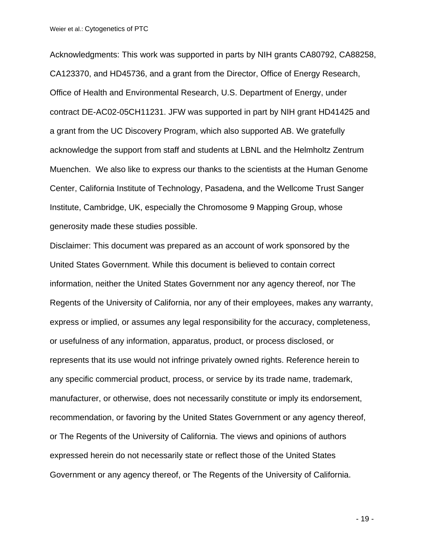Acknowledgments: This work was supported in parts by NIH grants CA80792, CA88258, CA123370, and HD45736, and a grant from the Director, Office of Energy Research, Office of Health and Environmental Research, U.S. Department of Energy, under contract DE-AC02-05CH11231. JFW was supported in part by NIH grant HD41425 and a grant from the UC Discovery Program, which also supported AB. We gratefully acknowledge the support from staff and students at LBNL and the Helmholtz Zentrum Muenchen. We also like to express our thanks to the scientists at the Human Genome Center, California Institute of Technology, Pasadena, and the Wellcome Trust Sanger Institute, Cambridge, UK, especially the Chromosome 9 Mapping Group, whose generosity made these studies possible.

Disclaimer: This document was prepared as an account of work sponsored by the United States Government. While this document is believed to contain correct information, neither the United States Government nor any agency thereof, nor The Regents of the University of California, nor any of their employees, makes any warranty, express or implied, or assumes any legal responsibility for the accuracy, completeness, or usefulness of any information, apparatus, product, or process disclosed, or represents that its use would not infringe privately owned rights. Reference herein to any specific commercial product, process, or service by its trade name, trademark, manufacturer, or otherwise, does not necessarily constitute or imply its endorsement, recommendation, or favoring by the United States Government or any agency thereof, or The Regents of the University of California. The views and opinions of authors expressed herein do not necessarily state or reflect those of the United States Government or any agency thereof, or The Regents of the University of California.

- 19 -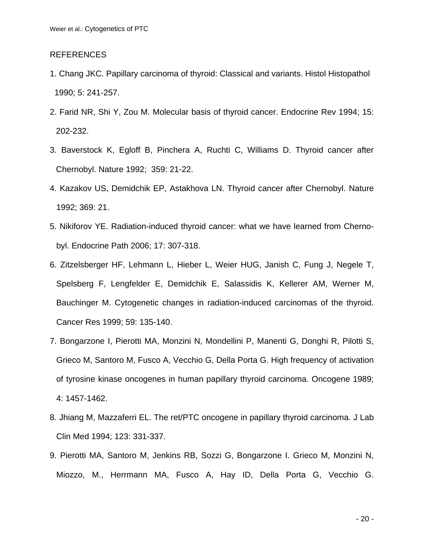## REFERENCES

- 1. Chang JKC. Papillary carcinoma of thyroid: Classical and variants. Histol Histopathol 1990; 5: 241-257.
- 2. Farid NR, Shi Y, Zou M. Molecular basis of thyroid cancer. Endocrine Rev 1994; 15: 202-232.
- 3. Baverstock K, Egloff B, Pinchera A, Ruchti C, Williams D. Thyroid cancer after Chernobyl. Nature 1992; 359: 21-22.
- 4. Kazakov US, Demidchik EP, Astakhova LN. Thyroid cancer after Chernobyl. Nature 1992; 369: 21.
- 5. Nikiforov YE. Radiation-induced thyroid cancer: what we have learned from Chernobyl. Endocrine Path 2006; 17: 307-318.
- 6. Zitzelsberger HF, Lehmann L, Hieber L, Weier HUG, Janish C, Fung J, Negele T, Spelsberg F, Lengfelder E, Demidchik E, Salassidis K, Kellerer AM, Werner M, Bauchinger M. Cytogenetic changes in radiation-induced carcinomas of the thyroid. Cancer Res 1999; 59: 135-140.
- 7. Bongarzone I, Pierotti MA, Monzini N, Mondellini P, Manenti G, Donghi R, Pilotti S, Grieco M, Santoro M, Fusco A, Vecchio G, Della Porta G. High frequency of activation of tyrosine kinase oncogenes in human papillary thyroid carcinoma. Oncogene 1989; 4: 1457-1462.
- 8. Jhiang M, Mazzaferri EL. The ret/PTC oncogene in papillary thyroid carcinoma. J Lab Clin Med 1994; 123: 331-337.
- 9. Pierotti MA, Santoro M, Jenkins RB, Sozzi G, Bongarzone I. Grieco M, Monzini N, Miozzo, M., Herrmann MA, Fusco A, Hay ID, Della Porta G, Vecchio G.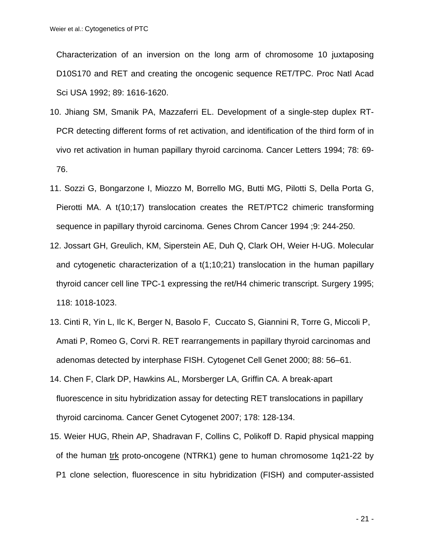Characterization of an inversion on the long arm of chromosome 10 juxtaposing D10S170 and RET and creating the oncogenic sequence RET/TPC. Proc Natl Acad Sci USA 1992; 89: 1616-1620.

- 10. Jhiang SM, Smanik PA, Mazzaferri EL. Development of a single-step duplex RT-PCR detecting different forms of ret activation, and identification of the third form of in vivo ret activation in human papillary thyroid carcinoma. Cancer Letters 1994; 78: 69- 76.
- 11. Sozzi G, Bongarzone I, Miozzo M, Borrello MG, Butti MG, Pilotti S, Della Porta G, Pierotti MA. A t(10;17) translocation creates the RET/PTC2 chimeric transforming sequence in papillary thyroid carcinoma. Genes Chrom Cancer 1994 ;9: 244-250.
- 12. Jossart GH, Greulich, KM, Siperstein AE, Duh Q, Clark OH, Weier H-UG. Molecular and cytogenetic characterization of a t(1;10;21) translocation in the human papillary thyroid cancer cell line TPC-1 expressing the ret/H4 chimeric transcript. Surgery 1995; 118: 1018-1023.
- 13. Cinti R, Yin L, Ilc K, Berger N, Basolo F, Cuccato S, Giannini R, Torre G, Miccoli P, Amati P, Romeo G, Corvi R. RET rearrangements in papillary thyroid carcinomas and adenomas detected by interphase FISH. Cytogenet Cell Genet 2000; 88: 56–61.
- 14. Chen F, Clark DP, Hawkins AL, Morsberger LA, Griffin CA. A break-apart fluorescence in situ hybridization assay for detecting RET translocations in papillary thyroid carcinoma. Cancer Genet Cytogenet 2007; 178: 128-134.
- 15. Weier HUG, Rhein AP, Shadravan F, Collins C, Polikoff D. Rapid physical mapping of the human trk proto-oncogene (NTRK1) gene to human chromosome 1q21-22 by P1 clone selection, fluorescence in situ hybridization (FISH) and computer-assisted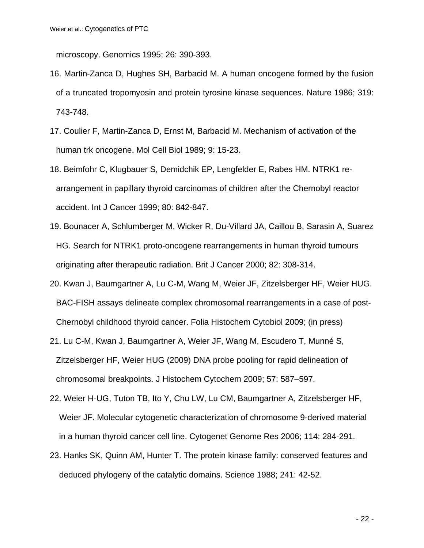microscopy. Genomics 1995; 26: 390-393.

- 16. Martin-Zanca D, Hughes SH, Barbacid M. A human oncogene formed by the fusion of a truncated tropomyosin and protein tyrosine kinase sequences. Nature 1986; 319: 743-748.
- 17. Coulier F, Martin-Zanca D, Ernst M, Barbacid M. Mechanism of activation of the human trk oncogene. Mol Cell Biol 1989; 9: 15-23.
- 18. Beimfohr C, Klugbauer S, Demidchik EP, Lengfelder E, Rabes HM. NTRK1 rearrangement in papillary thyroid carcinomas of children after the Chernobyl reactor accident. Int J Cancer 1999; 80: 842-847.
- 19. Bounacer A, Schlumberger M, Wicker R, Du-Villard JA, Caillou B, Sarasin A, Suarez HG. Search for NTRK1 proto-oncogene rearrangements in human thyroid tumours originating after therapeutic radiation. Brit J Cancer 2000; 82: 308-314.
- 20. Kwan J, Baumgartner A, Lu C-M, Wang M, Weier JF, Zitzelsberger HF, Weier HUG. BAC-FISH assays delineate complex chromosomal rearrangements in a case of post-Chernobyl childhood thyroid cancer. Folia Histochem Cytobiol 2009; (in press)
- 21. Lu C-M, Kwan J, Baumgartner A, Weier JF, Wang M, Escudero T, Munné S, Zitzelsberger HF, Weier HUG (2009) DNA probe pooling for rapid delineation of chromosomal breakpoints. J Histochem Cytochem 2009; 57: 587–597.
- 22. Weier H-UG, Tuton TB, Ito Y, Chu LW, Lu CM, Baumgartner A, Zitzelsberger HF, Weier JF. Molecular cytogenetic characterization of chromosome 9-derived material in a human thyroid cancer cell line. Cytogenet Genome Res 2006; 114: 284-291.
- 23. Hanks SK, Quinn AM, Hunter T. The protein kinase family: conserved features and deduced phylogeny of the catalytic domains. Science 1988; 241: 42-52.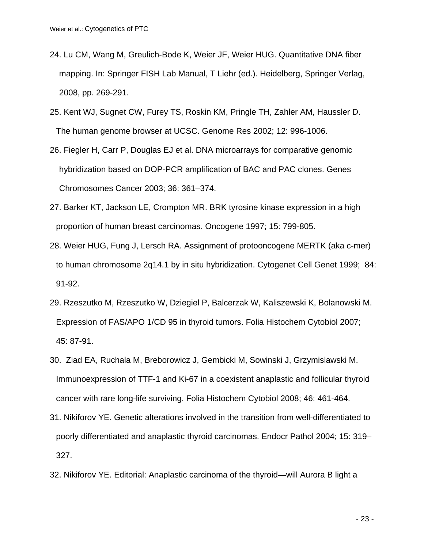- 24. Lu CM, Wang M, Greulich-Bode K, Weier JF, Weier HUG. Quantitative DNA fiber mapping. In: Springer FISH Lab Manual, T Liehr (ed.). Heidelberg, Springer Verlag, 2008, pp. 269-291.
- 25. Kent WJ, Sugnet CW, Furey TS, Roskin KM, Pringle TH, Zahler AM, Haussler D. The human genome browser at UCSC. Genome Res 2002; 12: 996-1006.
- 26. Fiegler H, Carr P, Douglas EJ et al. DNA microarrays for comparative genomic hybridization based on DOP-PCR amplification of BAC and PAC clones. Genes Chromosomes Cancer 2003; 36: 361–374.
- 27. Barker KT, Jackson LE, Crompton MR. BRK tyrosine kinase expression in a high proportion of human breast carcinomas. Oncogene 1997; 15: 799-805.
- 28. Weier HUG, Fung J, Lersch RA. Assignment of protooncogene MERTK (aka c-mer) to human chromosome 2q14.1 by in situ hybridization. Cytogenet Cell Genet 1999; 84: 91-92.
- 29. Rzeszutko M, Rzeszutko W, Dziegiel P, Balcerzak W, Kaliszewski K, Bolanowski M. Expression of FAS/APO 1/CD 95 in thyroid tumors. Folia Histochem Cytobiol 2007; 45: 87-91.
- 30. Ziad EA, Ruchala M, Breborowicz J, Gembicki M, Sowinski J, Grzymislawski M. Immunoexpression of TTF-1 and Ki-67 in a coexistent anaplastic and follicular thyroid cancer with rare long-life surviving. Folia Histochem Cytobiol 2008; 46: 461-464.
- 31. Nikiforov YE. Genetic alterations involved in the transition from well-differentiated to poorly differentiated and anaplastic thyroid carcinomas. Endocr Pathol 2004; 15: 319– 327.
- 32. Nikiforov YE. Editorial: Anaplastic carcinoma of the thyroid—will Aurora B light a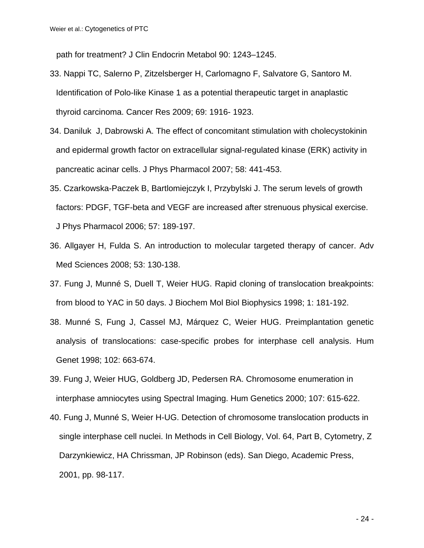path for treatment? J Clin Endocrin Metabol 90: 1243–1245.

- 33. Nappi TC, Salerno P, Zitzelsberger H, Carlomagno F, Salvatore G, Santoro M. Identification of Polo-like Kinase 1 as a potential therapeutic target in anaplastic thyroid carcinoma. Cancer Res 2009; 69: 1916- 1923.
- 34. Daniluk J, Dabrowski A. The effect of concomitant stimulation with cholecystokinin and epidermal growth factor on extracellular signal-regulated kinase (ERK) activity in pancreatic acinar cells. J Phys Pharmacol 2007; 58: 441-453.
- 35. Czarkowska-Paczek B, Bartlomiejczyk I, Przybylski J. The serum levels of growth factors: PDGF, TGF-beta and VEGF are increased after strenuous physical exercise. J Phys Pharmacol 2006; 57: 189-197.
- 36. Allgayer H, Fulda S. An introduction to molecular targeted therapy of cancer. Adv Med Sciences 2008; 53: 130-138.
- 37. Fung J, Munné S, Duell T, Weier HUG. Rapid cloning of translocation breakpoints: from blood to YAC in 50 days. J Biochem Mol Biol Biophysics 1998; 1: 181-192.
- 38. Munné S, Fung J, Cassel MJ, Márquez C, Weier HUG. Preimplantation genetic analysis of translocations: case-specific probes for interphase cell analysis. Hum Genet 1998; 102: 663-674.
- 39. Fung J, Weier HUG, Goldberg JD, Pedersen RA. Chromosome enumeration in interphase amniocytes using Spectral Imaging. Hum Genetics 2000; 107: 615-622.
- 40. Fung J, Munné S, Weier H-UG. Detection of chromosome translocation products in single interphase cell nuclei. In Methods in Cell Biology, Vol. 64, Part B, Cytometry, Z Darzynkiewicz, HA Chrissman, JP Robinson (eds). San Diego, Academic Press, 2001, pp. 98-117.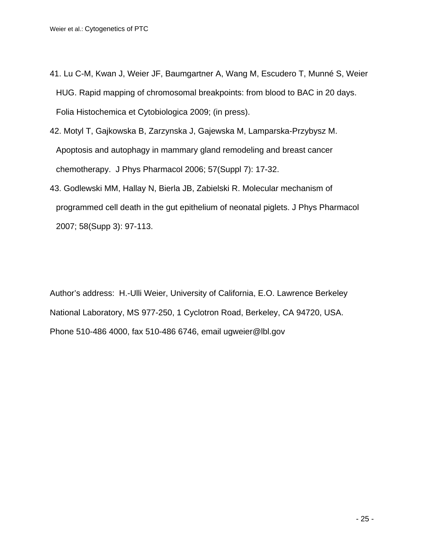- 41. Lu C-M, Kwan J, Weier JF, Baumgartner A, Wang M, Escudero T, Munné S, Weier HUG. Rapid mapping of chromosomal breakpoints: from blood to BAC in 20 days. Folia Histochemica et Cytobiologica 2009; (in press).
- 42. Motyl T, Gajkowska B, Zarzynska J, Gajewska M, Lamparska-Przybysz M. Apoptosis and autophagy in mammary gland remodeling and breast cancer chemotherapy. J Phys Pharmacol 2006; 57(Suppl 7): 17-32.
- 43. Godlewski MM, Hallay N, Bierla JB, Zabielski R. Molecular mechanism of programmed cell death in the gut epithelium of neonatal piglets. J Phys Pharmacol 2007; 58(Supp 3): 97-113.

Author's address: H.-Ulli Weier, University of California, E.O. Lawrence Berkeley National Laboratory, MS 977-250, 1 Cyclotron Road, Berkeley, CA 94720, USA. Phone 510-486 4000, fax 510-486 6746, email ugweier@lbl.gov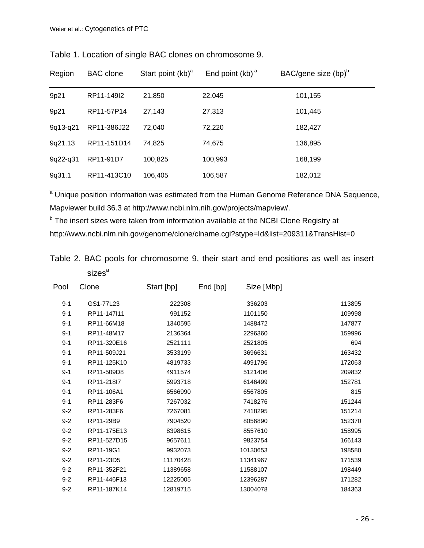Table 1. Location of single BAC clones on chromosome 9.

<sup>a</sup> Unique position information was estimated from the Human Genome Reference DNA Sequence, Mapviewer build 36.3 at http://www.ncbi.nlm.nih.gov/projects/mapview/.

<sup>b</sup> The insert sizes were taken from information available at the NCBI Clone Registry at http://www.ncbi.nlm.nih.gov/genome/clone/clname.cgi?stype=Id&list=209311&TransHist=0

|                    |  | Table 2. BAC pools for chromosome 9, their start and end positions as well as insert |  |  |  |  |  |
|--------------------|--|--------------------------------------------------------------------------------------|--|--|--|--|--|
| sizes <sup>a</sup> |  |                                                                                      |  |  |  |  |  |

| Pool    | Clone       | Start [bp] | End [bp] | Size [Mbp] |        |
|---------|-------------|------------|----------|------------|--------|
| $9 - 1$ | GS1-77L23   | 222308     |          | 336203     | 113895 |
| $9 - 1$ | RP11-147l11 | 991152     |          | 1101150    | 109998 |
| $9 - 1$ | RP11-66M18  | 1340595    |          | 1488472    | 147877 |
| $9 - 1$ | RP11-48M17  | 2136364    |          | 2296360    | 159996 |
| $9 - 1$ | RP11-320E16 | 2521111    |          | 2521805    | 694    |
| $9 - 1$ | RP11-509J21 | 3533199    |          | 3696631    | 163432 |
| $9 - 1$ | RP11-125K10 | 4819733    |          | 4991796    | 172063 |
| $9 - 1$ | RP11-509D8  | 4911574    |          | 5121406    | 209832 |
| $9 - 1$ | RP11-218I7  | 5993718    |          | 6146499    | 152781 |
| $9 - 1$ | RP11-106A1  | 6566990    |          | 6567805    | 815    |
| $9 - 1$ | RP11-283F6  | 7267032    |          | 7418276    | 151244 |
| $9 - 2$ | RP11-283F6  | 7267081    |          | 7418295    | 151214 |
| $9 - 2$ | RP11-29B9   | 7904520    |          | 8056890    | 152370 |
| $9 - 2$ | RP11-175E13 | 8398615    |          | 8557610    | 158995 |
| $9 - 2$ | RP11-527D15 | 9657611    |          | 9823754    | 166143 |
| $9 - 2$ | RP11-19G1   | 9932073    |          | 10130653   | 198580 |
| $9 - 2$ | RP11-23D5   | 11170428   |          | 11341967   | 171539 |
| $9 - 2$ | RP11-352F21 | 11389658   |          | 11588107   | 198449 |
| $9 - 2$ | RP11-446F13 | 12225005   |          | 12396287   | 171282 |
| $9 - 2$ | RP11-187K14 | 12819715   |          | 13004078   | 184363 |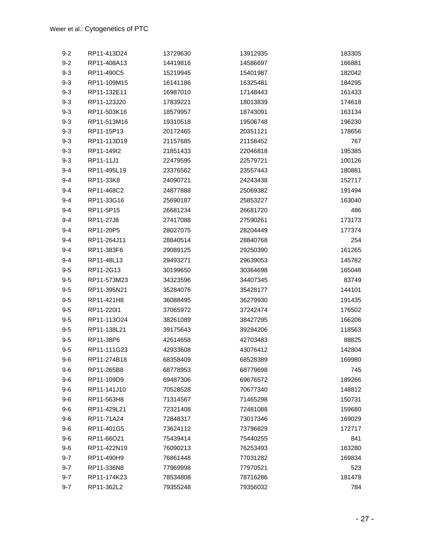| $9 - 2$ | RP11-413D24 | 13729630 | 13912935 | 183305 |
|---------|-------------|----------|----------|--------|
| $9 - 2$ | RP11-408A13 | 14419816 | 14586697 | 166881 |
| $9 - 3$ | RP11-490C5  | 15219945 | 15401987 | 182042 |
| $9 - 3$ | RP11-109M15 | 16141186 | 16325481 | 184295 |
| $9 - 3$ | RP11-132E11 | 16987010 | 17148443 | 161433 |
| $9 - 3$ | RP11-123J20 | 17839221 | 18013839 | 174618 |
| $9 - 3$ | RP11-503K16 | 18579957 | 18743091 | 163134 |
| $9 - 3$ | RP11-513M16 | 19310518 | 19506748 | 196230 |
| $9 - 3$ | RP11-15P13  | 20172465 | 20351121 | 178656 |
| $9 - 3$ | RP11-113D19 | 21157685 | 21158452 | 767    |
| $9 - 3$ | RP11-149I2  | 21851433 | 22046818 | 195385 |
| $9 - 3$ | RP11-11J1   | 22479595 | 22579721 | 100126 |
| $9 - 4$ | RP11-495L19 | 23376562 | 23557443 | 180881 |
| $9 - 4$ | RP11-33K8   | 24090721 | 24243438 | 152717 |
| $9 - 4$ | RP11-468C2  | 24877888 | 25069382 | 191494 |
| $9 - 4$ | RP11-33G16  | 25690187 | 25853227 | 163040 |
| $9 - 4$ | RP11-5P15   | 26681234 | 26681720 | 486    |
| $9 - 4$ | RP11-27J8   | 27417088 | 27590261 | 173173 |
| 9-4     | RP11-20P5   | 28027075 | 28204449 | 177374 |
| $9 - 4$ | RP11-264J11 | 28840514 | 28840768 | 254    |
| $9 - 4$ | RP11-383F6  | 29089125 | 29250390 | 161265 |
| $9 - 4$ | RP11-48L13  | 29493271 | 29639053 | 145782 |
| $9 - 5$ | RP11-2G13   | 30199650 | 30364698 | 165048 |
| $9 - 5$ | RP11-573M23 | 34323596 | 34407345 | 83749  |
| $9 - 5$ | RP11-395N21 | 35284076 | 35428177 | 144101 |
| $9 - 5$ | RP11-421H8  | 36088495 | 36279930 | 191435 |
| $9 - 5$ | RP11-22011  | 37065972 | 37242474 | 176502 |
| $9 - 5$ | RP11-113024 | 38261089 | 38427295 | 166206 |
| $9 - 5$ | RP11-138L21 | 39175643 | 39294206 | 118563 |
| $9 - 5$ | RP11-38P6   | 42614658 | 42703483 | 88825  |
| $9 - 5$ | RP11-111G23 | 42933608 | 43076412 | 142804 |
| $9-6$   | RP11-274B18 | 68358409 | 68528389 | 169980 |
| $9-6$   | RP11-265B8  | 68778953 | 68779698 | 745    |
| $9-6$   | RP11-109D9  | 69487306 | 69676572 | 189266 |
| $9-6$   | RP11-141J10 | 70528528 | 70677340 | 148812 |
| $9-6$   | RP11-563H8  | 71314567 | 71465298 | 150731 |
| $9-6$   | RP11-429L21 | 72321408 | 72481088 | 159680 |
| $9-6$   | RP11-71A24  | 72848317 | 73017346 | 169029 |
| $9-6$   | RP11-401G5  | 73624112 | 73796829 | 172717 |
| $9-6$   | RP11-66O21  | 75439414 | 75440255 | 841    |
| $9-6$   | RP11-422N19 | 76090213 | 76253493 | 163280 |
| $9 - 7$ | RP11-490H9  | 76861448 | 77031282 | 169834 |
| $9 - 7$ | RP11-336N8  | 77969998 | 77970521 | 523    |
| $9 - 7$ | RP11-174K23 | 78534808 | 78716286 | 181478 |
| $9 - 7$ | RP11-362L2  | 79355248 | 79356032 | 784    |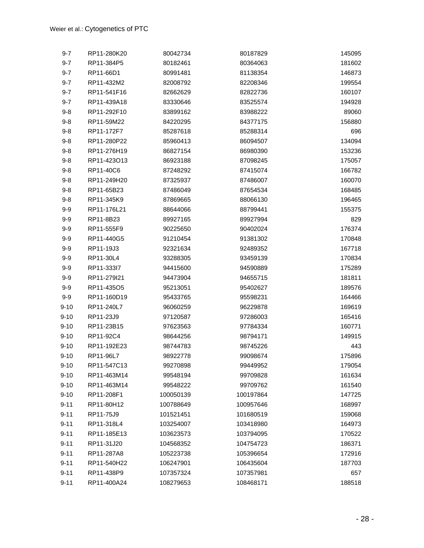| $9 - 7$  | RP11-280K20 | 80042734  | 80187829  | 145095 |
|----------|-------------|-----------|-----------|--------|
| $9 - 7$  | RP11-384P5  | 80182461  | 80364063  | 181602 |
| $9 - 7$  | RP11-66D1   | 80991481  | 81138354  | 146873 |
| $9 - 7$  | RP11-432M2  | 82008792  | 82208346  | 199554 |
| $9 - 7$  | RP11-541F16 | 82662629  | 82822736  | 160107 |
| $9 - 7$  | RP11-439A18 | 83330646  | 83525574  | 194928 |
| $9 - 8$  | RP11-292F10 | 83899162  | 83988222  | 89060  |
| $9 - 8$  | RP11-59M22  | 84220295  | 84377175  | 156880 |
| $9 - 8$  | RP11-172F7  | 85287618  | 85288314  | 696    |
| $9 - 8$  | RP11-280P22 | 85960413  | 86094507  | 134094 |
| $9 - 8$  | RP11-276H19 | 86827154  | 86980390  | 153236 |
| $9 - 8$  | RP11-423013 | 86923188  | 87098245  | 175057 |
| $9 - 8$  | RP11-40C6   | 87248292  | 87415074  | 166782 |
| $9 - 8$  | RP11-249H20 | 87325937  | 87486007  | 160070 |
| $9 - 8$  | RP11-65B23  | 87486049  | 87654534  | 168485 |
| $9 - 8$  | RP11-345K9  | 87869665  | 88066130  | 196465 |
| $9 - 9$  | RP11-176L21 | 88644066  | 88799441  | 155375 |
| $9-9$    | RP11-8B23   | 89927165  | 89927994  | 829    |
| $9 - 9$  | RP11-555F9  | 90225650  | 90402024  | 176374 |
| $9-9$    | RP11-440G5  | 91210454  | 91381302  | 170848 |
| $9 - 9$  | RP11-19J3   | 92321634  | 92489352  | 167718 |
| $9-9$    | RP11-30L4   | 93288305  | 93459139  | 170834 |
| $9 - 9$  | RP11-333l7  | 94415600  | 94590889  | 175289 |
| $9 - 9$  | RP11-279I21 | 94473904  | 94655715  | 181811 |
| $9-9$    | RP11-435O5  | 95213051  | 95402627  | 189576 |
| $9 - 9$  | RP11-160D19 | 95433765  | 95598231  | 164466 |
| $9 - 10$ | RP11-240L7  | 96060259  | 96229878  | 169619 |
| $9 - 10$ | RP11-23J9   | 97120587  | 97286003  | 165416 |
| $9 - 10$ | RP11-23B15  | 97623563  | 97784334  | 160771 |
| $9 - 10$ | RP11-92C4   | 98644256  | 98794171  | 149915 |
| $9 - 10$ | RP11-192E23 | 98744783  | 98745226  | 443    |
| $9 - 10$ | RP11-96L7   | 98922778  | 99098674  | 175896 |
| $9 - 10$ | RP11-547C13 | 99270898  | 99449952  | 179054 |
| $9 - 10$ | RP11-463M14 | 99548194  | 99709828  | 161634 |
| $9 - 10$ | RP11-463M14 | 99548222  | 99709762  | 161540 |
| $9 - 10$ | RP11-208F1  | 100050139 | 100197864 | 147725 |
| $9 - 11$ | RP11-80H12  | 100788649 | 100957646 | 168997 |
| $9 - 11$ | RP11-75J9   | 101521451 | 101680519 | 159068 |
| $9 - 11$ | RP11-318L4  | 103254007 | 103418980 | 164973 |
| $9 - 11$ | RP11-185E13 | 103623573 | 103794095 | 170522 |
| $9 - 11$ | RP11-31J20  | 104568352 | 104754723 | 186371 |
| $9 - 11$ | RP11-287A8  | 105223738 | 105396654 | 172916 |
| $9 - 11$ | RP11-540H22 | 106247901 | 106435604 | 187703 |
| $9 - 11$ | RP11-438P9  | 107357324 | 107357981 | 657    |
| $9 - 11$ | RP11-400A24 | 108279653 | 108468171 | 188518 |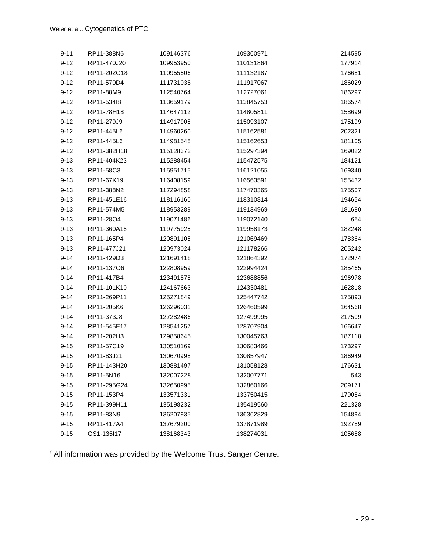| $9 - 11$ | RP11-388N6  | 109146376 | 109360971 | 214595 |
|----------|-------------|-----------|-----------|--------|
| $9 - 12$ | RP11-470J20 | 109953950 | 110131864 | 177914 |
| $9 - 12$ | RP11-202G18 | 110955506 | 111132187 | 176681 |
| $9 - 12$ | RP11-570D4  | 111731038 | 111917067 | 186029 |
| $9 - 12$ | RP11-88M9   | 112540764 | 112727061 | 186297 |
| $9 - 12$ | RP11-53418  | 113659179 | 113845753 | 186574 |
| $9 - 12$ | RP11-78H18  | 114647112 | 114805811 | 158699 |
| $9 - 12$ | RP11-279J9  | 114917908 | 115093107 | 175199 |
| $9 - 12$ | RP11-445L6  | 114960260 | 115162581 | 202321 |
| $9 - 12$ | RP11-445L6  | 114981548 | 115162653 | 181105 |
| $9 - 12$ | RP11-382H18 | 115128372 | 115297394 | 169022 |
| $9 - 13$ | RP11-404K23 | 115288454 | 115472575 | 184121 |
| $9 - 13$ | RP11-58C3   | 115951715 | 116121055 | 169340 |
| $9 - 13$ | RP11-67K19  | 116408159 | 116563591 | 155432 |
| $9 - 13$ | RP11-388N2  | 117294858 | 117470365 | 175507 |
| $9 - 13$ | RP11-451E16 | 118116160 | 118310814 | 194654 |
| $9 - 13$ | RP11-574M5  | 118953289 | 119134969 | 181680 |
| $9 - 13$ | RP11-28O4   | 119071486 | 119072140 | 654    |
| $9 - 13$ | RP11-360A18 | 119775925 | 119958173 | 182248 |
| $9 - 13$ | RP11-165P4  | 120891105 | 121069469 | 178364 |
| $9 - 13$ | RP11-477J21 | 120973024 | 121178266 | 205242 |
| $9 - 14$ | RP11-429D3  | 121691418 | 121864392 | 172974 |
| $9 - 14$ | RP11-13706  | 122808959 | 122994424 | 185465 |
| $9 - 14$ | RP11-417B4  | 123491878 | 123688856 | 196978 |
| $9 - 14$ | RP11-101K10 | 124167663 | 124330481 | 162818 |
| $9 - 14$ | RP11-269P11 | 125271849 | 125447742 | 175893 |
| $9 - 14$ | RP11-205K6  | 126296031 | 126460599 | 164568 |
| $9 - 14$ | RP11-373J8  | 127282486 | 127499995 | 217509 |
| $9 - 14$ | RP11-545E17 | 128541257 | 128707904 | 166647 |
| $9 - 14$ | RP11-202H3  | 129858645 | 130045763 | 187118 |
| $9 - 15$ | RP11-57C19  | 130510169 | 130683466 | 173297 |
| $9 - 15$ | RP11-83J21  | 130670998 | 130857947 | 186949 |
| $9 - 15$ | RP11-143H20 | 130881497 | 131058128 | 176631 |
| $9 - 15$ | RP11-5N16   | 132007228 | 132007771 | 543    |
| $9 - 15$ | RP11-295G24 | 132650995 | 132860166 | 209171 |
| $9 - 15$ | RP11-153P4  | 133571331 | 133750415 | 179084 |
| $9 - 15$ | RP11-399H11 | 135198232 | 135419560 | 221328 |
| $9 - 15$ | RP11-83N9   | 136207935 | 136362829 | 154894 |
| $9 - 15$ | RP11-417A4  | 137679200 | 137871989 | 192789 |
| $9 - 15$ | GS1-135I17  | 138168343 | 138274031 | 105688 |

a All information was provided by the Welcome Trust Sanger Centre.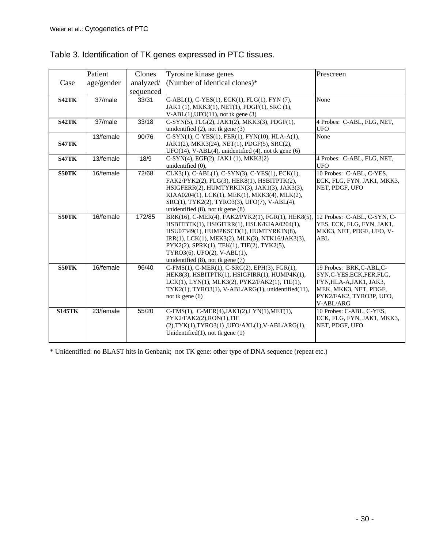|               | Patient    | Clones    | Tyrosine kinase genes                                                                       | Prescreen                                              |
|---------------|------------|-----------|---------------------------------------------------------------------------------------------|--------------------------------------------------------|
| Case          | age/gender | analyzed/ | (Number of identical clones)*                                                               |                                                        |
|               |            | sequenced |                                                                                             |                                                        |
| <b>S42TK</b>  | 37/male    | 33/31     | C-ABL(1), C-YES(1), ECK(1), FLG(1), FYN (7),                                                | None                                                   |
|               |            |           | JAK1 (1), MKK3(1), NET(1), PDGF(1), SRC (1),                                                |                                                        |
|               |            |           | $V-ABL(1), UFO(11),$ not tk gene (3)                                                        |                                                        |
| <b>S42TK</b>  | 37/male    | 33/18     | C-SYN(5), FLG(2), JAK1(2), MKK3(3), PDGF(1),                                                | 4 Probes: C-ABL, FLG, NET,                             |
|               |            |           | unidentified $(2)$ , not tk gene $(3)$                                                      | <b>UFO</b>                                             |
|               | 13/female  | 90/76     | C-SYN(1), C-YES(1), FER(1), FYN(10), HLA-A(1),                                              | None                                                   |
| <b>S47TK</b>  |            |           | JAK1(2), MKK3(24), NET(1), PDGF(5), SRC(2),                                                 |                                                        |
| <b>S47TK</b>  | 13/female  | 18/9      | UFO(14), V-ABL(4), unidentified (4), not tk gene (6)<br>C-SYN(4), EGF(2), JAK1 (1), MKK3(2) | 4 Probes: C-ABL, FLG, NET,                             |
|               |            |           | unidentified (0),                                                                           | <b>UFO</b>                                             |
| S50TK         | 16/female  | 72/68     | CLK3(1), C-ABL(1), C-SYN(3), C-YES(1), ECK(1),                                              | 10 Probes: C-ABL, C-YES,                               |
|               |            |           | FAK2/PYK2(2), FLG(3), HEK8(1), HSBITPTK(2),                                                 | ECK, FLG, FYN, JAK1, MKK3,                             |
|               |            |           | HSIGFERR(2), HUMTYRKIN(3), JAK1(3), JAK3(3),                                                | NET, PDGF, UFO                                         |
|               |            |           | KIAA0204(1), LCK(1), MEK(1), MKK3(4), MLK(2),                                               |                                                        |
|               |            |           | SRC(1), TYK2(2), TYRO3(3), UFO(7), V-ABL(4),                                                |                                                        |
|               |            |           | unidentified $(8)$ , not tk gene $(8)$                                                      |                                                        |
| S50TK         | 16/female  | 172/85    | BRK(16), C-MER(4), FAK2/PYK2(1), FGR(1), HEK8(5).                                           | 12 Probes: C-ABL, C-SYN, C-                            |
|               |            |           | HSBITBTK(1), HSIGFIRR(1), HSLK/KIAA0204(1),                                                 | YES, ECK, FLG, FYN, JAK1,                              |
|               |            |           | HSU07349(1), HUMPKSCD(1), HUMTYRKIN(8),<br>IRR(1), LCK(1), MEK3(2), MLK(3), NTK16/JAK3(3),  | MKK3, NET, PDGF, UFO, V-<br><b>ABL</b>                 |
|               |            |           | PYK2(2), SPRK(1), TEK(1), TIE(2), TYK2(5),                                                  |                                                        |
|               |            |           | TYRO3(6), UFO(2), V-ABL(1),                                                                 |                                                        |
|               |            |           | unidentified $(8)$ , not tk gene $(7)$                                                      |                                                        |
| S50TK         | 16/female  | 96/40     | C-FMS(1), C-MER(1), C-SRC(2), EPH(3), FGR(1),                                               | 19 Probes: BRK,C-ABL,C-                                |
|               |            |           | HEK8(3), HSBITPTK(1), HSIGFIRR(1), HUMP4K(1),                                               | SYN,C-YES,ECK,FER,FLG,                                 |
|               |            |           | LCK(1), LYN(1), MLK3(2), PYK2/FAK2(1), TIE(1),                                              | FYN, HLA-A, JAK1, JAK3,                                |
|               |            |           | TYK2(1), TYRO3(1), V-ABL/ARG(1), unidentified(11),                                          | MEK, MKK3, NET, PDGF,                                  |
|               |            |           | not tk gene (6)                                                                             | PYK2/FAK2, TYRO3P, UFO,                                |
|               |            |           |                                                                                             | V-ABL/ARG                                              |
| <b>S145TK</b> | 23/female  | 55/20     | C-FMS(1), C-MER(4), JAK1(2), LYN(1), MET(1),<br>PYK2/FAK2(2),RON(1),TIE                     | 10 Probes: C-ABL, C-YES,<br>ECK, FLG, FYN, JAK1, MKK3, |
|               |            |           | (2), TYK(1), TYRO3(1), UFO/AXL(1), V-ABL/ARG(1),                                            | NET, PDGF, UFO                                         |
|               |            |           | Unidentified $(1)$ , not tk gene $(1)$                                                      |                                                        |
|               |            |           |                                                                                             |                                                        |

Table 3. Identification of TK genes expressed in PTC tissues.

\* Unidentified: no BLAST hits in Genbank; not TK gene: other type of DNA sequence (repeat etc.)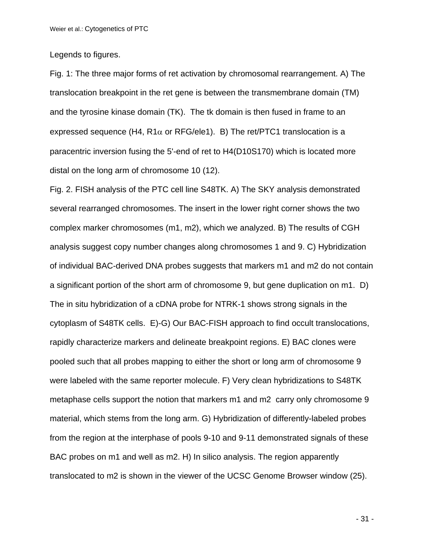Legends to figures.

Fig. 1: The three major forms of ret activation by chromosomal rearrangement. A) The translocation breakpoint in the ret gene is between the transmembrane domain (TM) and the tyrosine kinase domain (TK). The tk domain is then fused in frame to an expressed sequence (H4,  $R1\alpha$  or RFG/ele1). B) The ret/PTC1 translocation is a paracentric inversion fusing the 5'-end of ret to H4(D10S170) which is located more distal on the long arm of chromosome 10 (12).

Fig. 2. FISH analysis of the PTC cell line S48TK. A) The SKY analysis demonstrated several rearranged chromosomes. The insert in the lower right corner shows the two complex marker chromosomes (m1, m2), which we analyzed. B) The results of CGH analysis suggest copy number changes along chromosomes 1 and 9. C) Hybridization of individual BAC-derived DNA probes suggests that markers m1 and m2 do not contain a significant portion of the short arm of chromosome 9, but gene duplication on m1. D) The in situ hybridization of a cDNA probe for NTRK-1 shows strong signals in the cytoplasm of S48TK cells. E)-G) Our BAC-FISH approach to find occult translocations, rapidly characterize markers and delineate breakpoint regions. E) BAC clones were pooled such that all probes mapping to either the short or long arm of chromosome 9 were labeled with the same reporter molecule. F) Very clean hybridizations to S48TK metaphase cells support the notion that markers m1 and m2 carry only chromosome 9 material, which stems from the long arm. G) Hybridization of differently-labeled probes from the region at the interphase of pools 9-10 and 9-11 demonstrated signals of these BAC probes on m1 and well as m2. H) In silico analysis. The region apparently translocated to m2 is shown in the viewer of the UCSC Genome Browser window (25).

- 31 -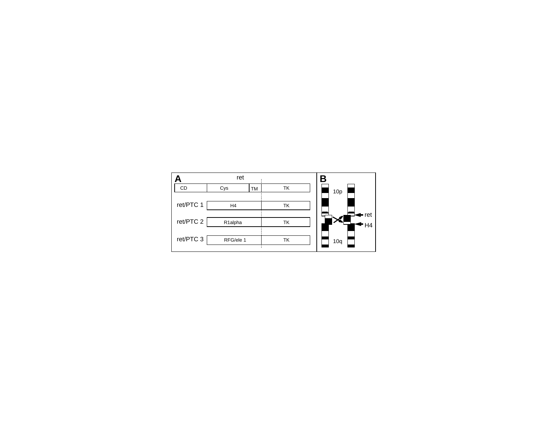